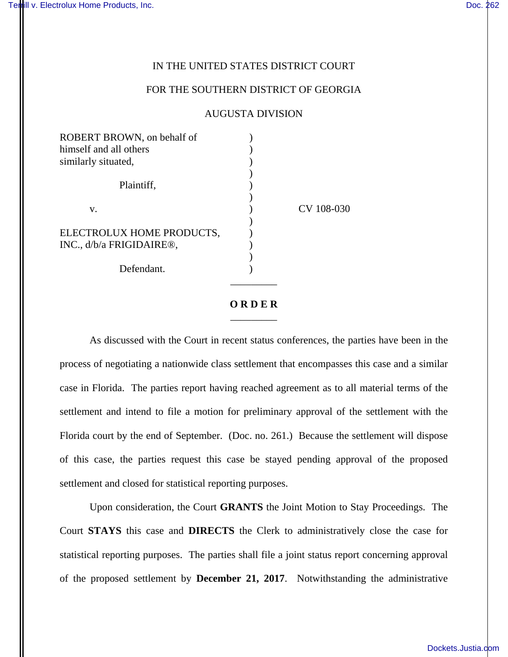## IN THE UNITED STATES DISTRICT COURT

## FOR THE SOUTHERN DISTRICT OF GEORGIA

## AUGUSTA DIVISION

| ROBERT BROWN, on behalf of            |            |
|---------------------------------------|------------|
| himself and all others                |            |
| similarly situated,                   |            |
|                                       |            |
| Plaintiff,                            |            |
|                                       |            |
| V.                                    | CV 108-030 |
|                                       |            |
| ELECTROLUX HOME PRODUCTS,             |            |
| INC., d/b/a FRIGIDAIRE <sup>®</sup> , |            |
|                                       |            |
| Defendant.                            |            |
|                                       |            |

## **O R D E R** \_\_\_\_\_\_\_\_\_

 As discussed with the Court in recent status conferences, the parties have been in the process of negotiating a nationwide class settlement that encompasses this case and a similar case in Florida. The parties report having reached agreement as to all material terms of the settlement and intend to file a motion for preliminary approval of the settlement with the Florida court by the end of September. (Doc. no. 261.) Because the settlement will dispose of this case, the parties request this case be stayed pending approval of the proposed settlement and closed for statistical reporting purposes.

Upon consideration, the Court **GRANTS** the Joint Motion to Stay Proceedings. The Court **STAYS** this case and **DIRECTS** the Clerk to administratively close the case for statistical reporting purposes. The parties shall file a joint status report concerning approval of the proposed settlement by **December 21, 2017**. Notwithstanding the administrative